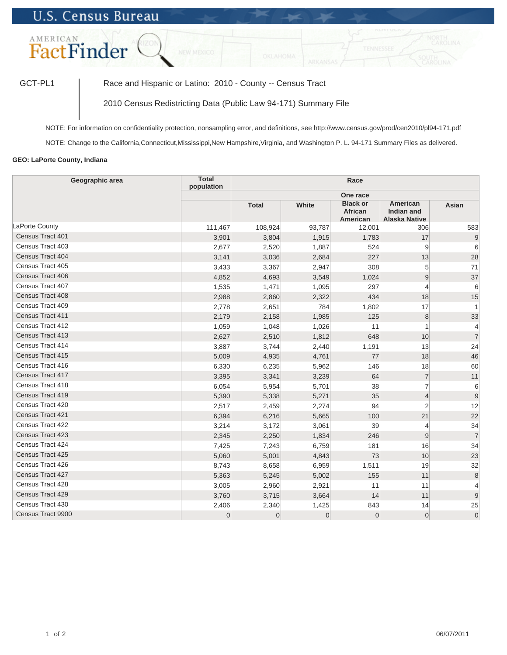## **U.S. Census Bureau**



GCT-PL1 | Race and Hispanic or Latino: 2010 - County -- Census Tract

2010 Census Redistricting Data (Public Law 94-171) Summary File

NOTE: For information on confidentiality protection, nonsampling error, and definitions, see http://www.census.gov/prod/cen2010/pl94-171.pdf

NOTE: Change to the California,Connecticut,Mississippi,New Hampshire,Virginia, and Washington P. L. 94-171 Summary Files as delivered.

## **GEO: LaPorte County, Indiana**

| Geographic area   | <b>Total</b><br>population | Race           |                |                                        |                                                       |                |  |  |
|-------------------|----------------------------|----------------|----------------|----------------------------------------|-------------------------------------------------------|----------------|--|--|
|                   |                            |                |                | One race                               |                                                       |                |  |  |
|                   |                            | <b>Total</b>   | White          | <b>Black or</b><br>African<br>American | American<br><b>Indian and</b><br><b>Alaska Native</b> | Asian          |  |  |
| LaPorte County    | 111,467                    | 108,924        | 93,787         | 12,001                                 | 306                                                   | 583            |  |  |
| Census Tract 401  | 3,901                      | 3,804          | 1,915          | 1,783                                  | 17                                                    | 9              |  |  |
| Census Tract 403  | 2,677                      | 2,520          | 1,887          | 524                                    | 9                                                     | 6              |  |  |
| Census Tract 404  | 3,141                      | 3,036          | 2,684          | 227                                    | 13                                                    | 28             |  |  |
| Census Tract 405  | 3,433                      | 3,367          | 2,947          | 308                                    | 5                                                     | 71             |  |  |
| Census Tract 406  | 4,852                      | 4,693          | 3,549          | 1,024                                  | 9                                                     | 37             |  |  |
| Census Tract 407  | 1,535                      | 1,471          | 1,095          | 297                                    | $\overline{4}$                                        | 6              |  |  |
| Census Tract 408  | 2,988                      | 2,860          | 2,322          | 434                                    | 18                                                    | 15             |  |  |
| Census Tract 409  | 2,778                      | 2,651          | 784            | 1,802                                  | 17                                                    | 1              |  |  |
| Census Tract 411  | 2,179                      | 2,158          | 1,985          | 125                                    | 8                                                     | 33             |  |  |
| Census Tract 412  | 1,059                      | 1,048          | 1,026          | 11                                     | $\overline{1}$                                        | $\overline{4}$ |  |  |
| Census Tract 413  | 2,627                      | 2,510          | 1,812          | 648                                    | 10                                                    | $\overline{7}$ |  |  |
| Census Tract 414  | 3,887                      | 3,744          | 2,440          | 1,191                                  | 13                                                    | 24             |  |  |
| Census Tract 415  | 5,009                      | 4,935          | 4,761          | 77                                     | 18                                                    | 46             |  |  |
| Census Tract 416  | 6,330                      | 6,235          | 5,962          | 146                                    | 18                                                    | 60             |  |  |
| Census Tract 417  | 3,395                      | 3,341          | 3,239          | 64                                     | $\overline{7}$                                        | 11             |  |  |
| Census Tract 418  | 6,054                      | 5,954          | 5,701          | 38                                     | $\overline{7}$                                        | 6              |  |  |
| Census Tract 419  | 5,390                      | 5,338          | 5,271          | 35                                     | $\overline{4}$                                        | $\overline{9}$ |  |  |
| Census Tract 420  | 2,517                      | 2,459          | 2,274          | 94                                     | $\overline{2}$                                        | 12             |  |  |
| Census Tract 421  | 6,394                      | 6,216          | 5,665          | 100                                    | 21                                                    | 22             |  |  |
| Census Tract 422  | 3,214                      | 3,172          | 3,061          | 39                                     | $\overline{4}$                                        | 34             |  |  |
| Census Tract 423  | 2,345                      | 2,250          | 1,834          | 246                                    | 9                                                     | $\overline{7}$ |  |  |
| Census Tract 424  | 7,425                      | 7,243          | 6,759          | 181                                    | 16                                                    | 34             |  |  |
| Census Tract 425  | 5,060                      | 5,001          | 4,843          | 73                                     | 10                                                    | 23             |  |  |
| Census Tract 426  | 8,743                      | 8,658          | 6,959          | 1,511                                  | 19                                                    | 32             |  |  |
| Census Tract 427  | 5,363                      | 5,245          | 5,002          | 155                                    | 11                                                    | 8              |  |  |
| Census Tract 428  | 3,005                      | 2,960          | 2,921          | 11                                     | 11                                                    | $\overline{4}$ |  |  |
| Census Tract 429  | 3,760                      | 3,715          | 3,664          | 14                                     | 11                                                    | 9              |  |  |
| Census Tract 430  | 2,406                      | 2,340          | 1,425          | 843                                    | 14                                                    | 25             |  |  |
| Census Tract 9900 | $\overline{0}$             | $\overline{0}$ | $\overline{0}$ | $\mathbf 0$                            | $\overline{0}$                                        | $\overline{0}$ |  |  |